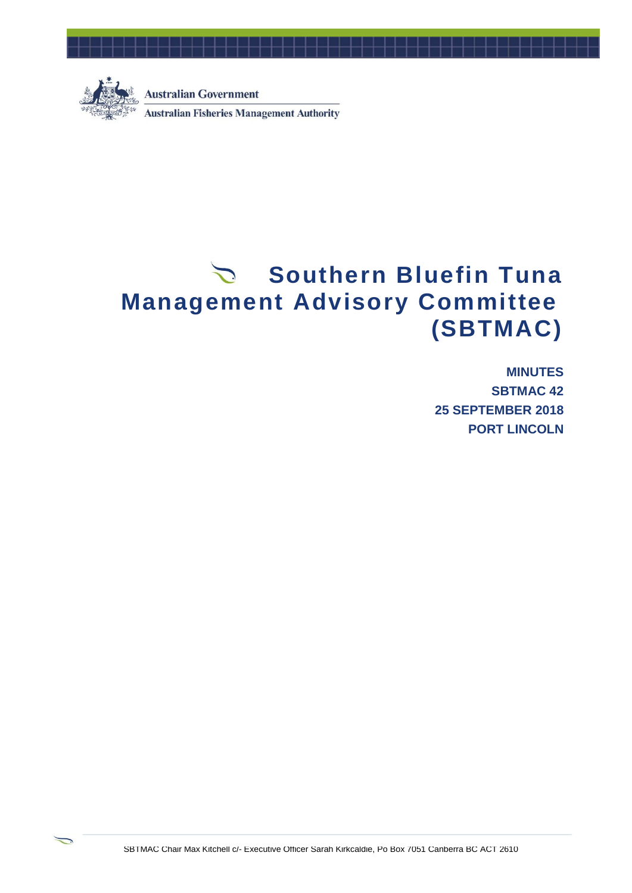

≂

**Australian Government Australian Fisheries Management Authority** 

# Southern Bluefin Tuna **Management Advisory Committee (SBTMAC)**

**MINUTES SBTMAC 42 25 SEPTEMBER 2018 PORT LINCOLN**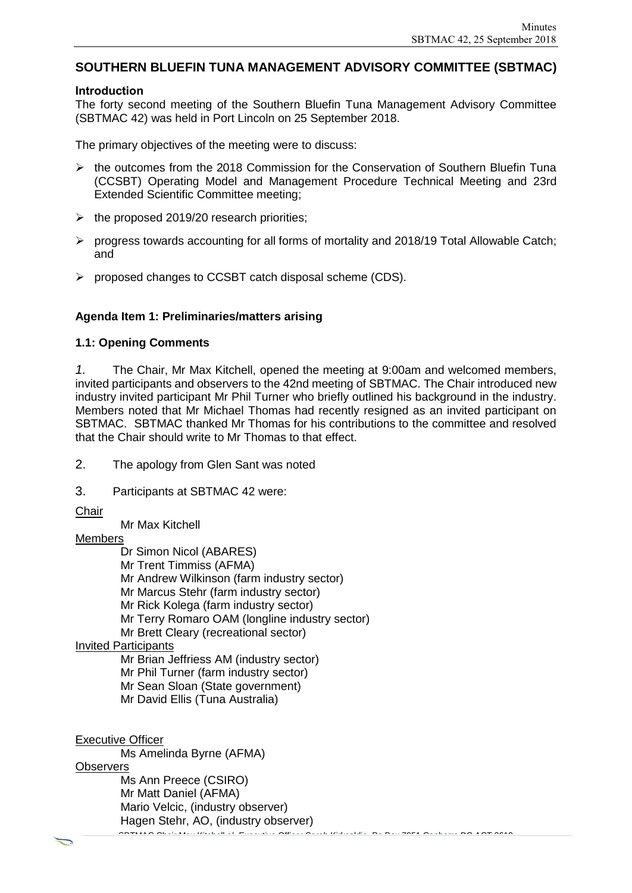### **SOUTHERN BLUEFIN TUNA MANAGEMENT ADVISORY COMMITTEE (SBTMAC)**

#### **Introduction**

The forty second meeting of the Southern Bluefin Tuna Management Advisory Committee (SBTMAC 42) was held in Port Lincoln on 25 September 2018.

The primary objectives of the meeting were to discuss:

- $\triangleright$  the outcomes from the 2018 Commission for the Conservation of Southern Bluefin Tuna (CCSBT) Operating Model and Management Procedure Technical Meeting and 23rd Extended Scientific Committee meeting;
- $\triangleright$  the proposed 2019/20 research priorities;
- $\triangleright$  progress towards accounting for all forms of mortality and 2018/19 Total Allowable Catch; and
- $\triangleright$  proposed changes to CCSBT catch disposal scheme (CDS).

#### **Agenda Item 1: Preliminaries/matters arising**

#### **1.1: Opening Comments**

*1.* The Chair, Mr Max Kitchell, opened the meeting at 9:00am and welcomed members, invited participants and observers to the 42nd meeting of SBTMAC. The Chair introduced new industry invited participant Mr Phil Turner who briefly outlined his background in the industry. Members noted that Mr Michael Thomas had recently resigned as an invited participant on SBTMAC. SBTMAC thanked Mr Thomas for his contributions to the committee and resolved that the Chair should write to Mr Thomas to that effect.

2. The apology from Glen Sant was noted

- 3. Participants at SBTMAC 42 were:
- **Chair**

Mr Max Kitchell

#### Members

Dr Simon Nicol (ABARES)

- Mr Trent Timmiss (AFMA)
- Mr Andrew Wilkinson (farm industry sector)
- Mr Marcus Stehr (farm industry sector)
- Mr Rick Kolega (farm industry sector)
- Mr Terry Romaro OAM (longline industry sector)
- Mr Brett Cleary (recreational sector)

#### Invited Participants

Mr Brian Jeffriess AM (industry sector)

- Mr Phil Turner (farm industry sector)
- Mr Sean Sloan (State government)
- Mr David Ellis (Tuna Australia)

Executive Officer

SBTMAC Chair Max Kitchell c/- Executive Officer Sarah Kirkcaldie, Po Box 7051 Canberra BC ACT 2610 Ms Amelinda Byrne (AFMA) **Observers** Ms Ann Preece (CSIRO) Mr Matt Daniel (AFMA) Mario Velcic, (industry observer) Hagen Stehr, AO, (industry observer)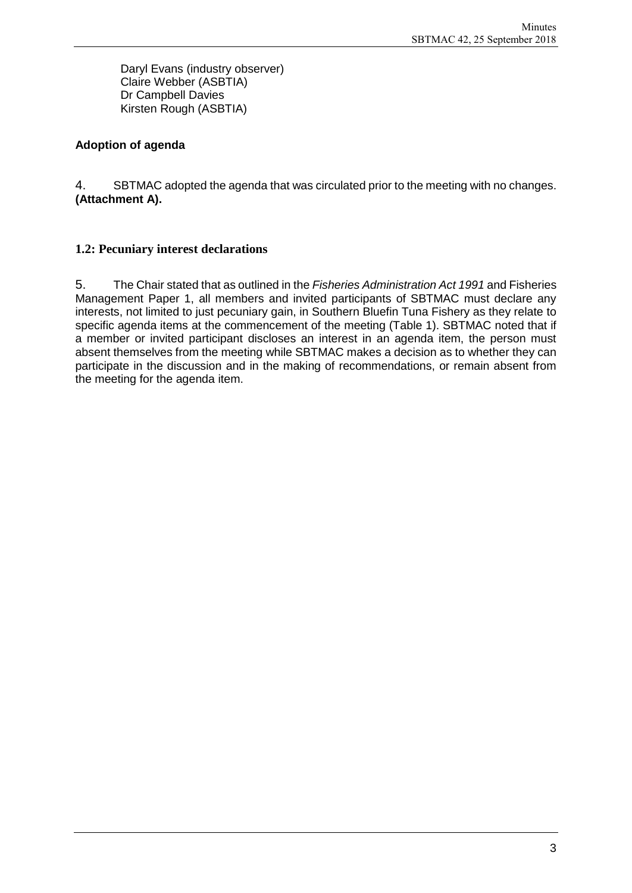Daryl Evans (industry observer) Claire Webber (ASBTIA) Dr Campbell Davies Kirsten Rough (ASBTIA)

### **Adoption of agenda**

4. SBTMAC adopted the agenda that was circulated prior to the meeting with no changes. **(Attachment A).**

### **1.2: Pecuniary interest declarations**

5. The Chair stated that as outlined in the *Fisheries Administration Act 1991* and Fisheries Management Paper 1, all members and invited participants of SBTMAC must declare any interests, not limited to just pecuniary gain, in Southern Bluefin Tuna Fishery as they relate to specific agenda items at the commencement of the meeting (Table 1). SBTMAC noted that if a member or invited participant discloses an interest in an agenda item, the person must absent themselves from the meeting while SBTMAC makes a decision as to whether they can participate in the discussion and in the making of recommendations, or remain absent from the meeting for the agenda item.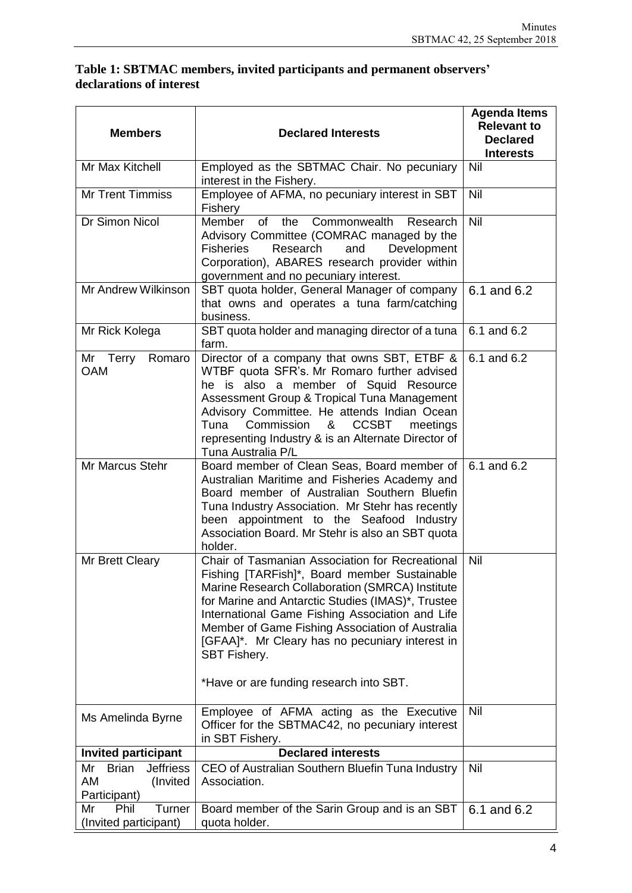### **Table 1: SBTMAC members, invited participants and permanent observers' declarations of interest**

| <b>Members</b>                                                           | <b>Declared Interests</b>                                                                                                                                                                                                                                                                                                                                                                                                          | <b>Agenda Items</b><br><b>Relevant to</b><br><b>Declared</b><br><b>Interests</b> |
|--------------------------------------------------------------------------|------------------------------------------------------------------------------------------------------------------------------------------------------------------------------------------------------------------------------------------------------------------------------------------------------------------------------------------------------------------------------------------------------------------------------------|----------------------------------------------------------------------------------|
| Mr Max Kitchell                                                          | Employed as the SBTMAC Chair. No pecuniary<br>interest in the Fishery.                                                                                                                                                                                                                                                                                                                                                             | Nil                                                                              |
| <b>Mr Trent Timmiss</b>                                                  | Employee of AFMA, no pecuniary interest in SBT<br>Fishery                                                                                                                                                                                                                                                                                                                                                                          | Nil                                                                              |
| Dr Simon Nicol                                                           | <b>Member</b><br>of<br>Commonwealth<br>the<br>Research<br>Advisory Committee (COMRAC managed by the<br><b>Fisheries</b><br>Research<br>and<br>Development<br>Corporation), ABARES research provider within<br>government and no pecuniary interest.                                                                                                                                                                                | Nil                                                                              |
| Mr Andrew Wilkinson                                                      | SBT quota holder, General Manager of company<br>that owns and operates a tuna farm/catching<br>business.                                                                                                                                                                                                                                                                                                                           | 6.1 and 6.2                                                                      |
| Mr Rick Kolega                                                           | SBT quota holder and managing director of a tuna<br>farm.                                                                                                                                                                                                                                                                                                                                                                          | 6.1 and 6.2                                                                      |
| Mr Terry<br>Romaro<br><b>OAM</b>                                         | Director of a company that owns SBT, ETBF &<br>WTBF quota SFR's. Mr Romaro further advised<br>he is also a member of Squid Resource<br>Assessment Group & Tropical Tuna Management<br>Advisory Committee. He attends Indian Ocean<br>Tuna<br>Commission<br>&<br><b>CCSBT</b><br>meetings<br>representing Industry & is an Alternate Director of<br>Tuna Australia P/L                                                              | 6.1 and $6.\overline{2}$                                                         |
| Mr Marcus Stehr                                                          | Board member of Clean Seas, Board member of<br>Australian Maritime and Fisheries Academy and<br>Board member of Australian Southern Bluefin<br>Tuna Industry Association. Mr Stehr has recently<br>been appointment to the Seafood Industry<br>Association Board. Mr Stehr is also an SBT quota<br>holder.                                                                                                                         | 6.1 and 6.2                                                                      |
| Mr Brett Cleary                                                          | Chair of Tasmanian Association for Recreational<br>Fishing [TARFish]*, Board member Sustainable<br>Marine Research Collaboration (SMRCA) Institute<br>for Marine and Antarctic Studies (IMAS)*, Trustee<br>International Game Fishing Association and Life<br>Member of Game Fishing Association of Australia<br>[GFAA]*. Mr Cleary has no pecuniary interest in<br><b>SBT Fishery.</b><br>*Have or are funding research into SBT. | Nil                                                                              |
| Ms Amelinda Byrne                                                        | Employee of AFMA acting as the Executive<br>Officer for the SBTMAC42, no pecuniary interest<br>in SBT Fishery.                                                                                                                                                                                                                                                                                                                     | Nil                                                                              |
| <b>Invited participant</b>                                               | <b>Declared interests</b>                                                                                                                                                                                                                                                                                                                                                                                                          |                                                                                  |
| <b>Jeffriess</b><br><b>Brian</b><br>Mr<br>AM<br>(Invited<br>Participant) | CEO of Australian Southern Bluefin Tuna Industry<br>Association.                                                                                                                                                                                                                                                                                                                                                                   | Nil                                                                              |
| Phil<br>Turner<br>Mr<br>(Invited participant)                            | Board member of the Sarin Group and is an SBT<br>quota holder.                                                                                                                                                                                                                                                                                                                                                                     | 6.1 and 6.2                                                                      |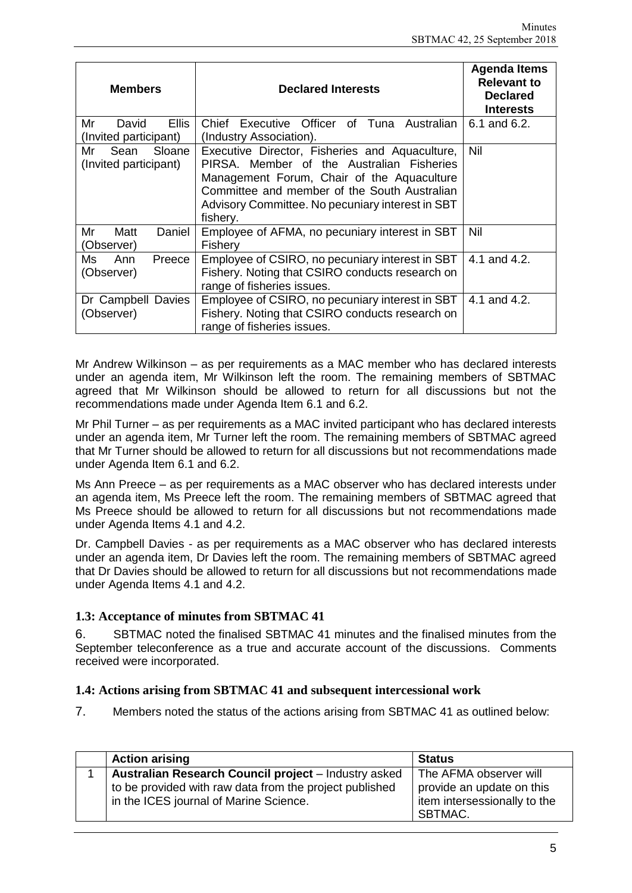| <b>Members</b>                                | <b>Declared Interests</b>                                                                                                                                                                                                                                 | <b>Agenda Items</b><br><b>Relevant to</b><br><b>Declared</b><br>Interests |
|-----------------------------------------------|-----------------------------------------------------------------------------------------------------------------------------------------------------------------------------------------------------------------------------------------------------------|---------------------------------------------------------------------------|
| Mr<br>Ellis<br>David<br>(Invited participant) | Executive Officer of Tuna Australian<br>Chief<br>(Industry Association).                                                                                                                                                                                  | 6.1 and 6.2.                                                              |
| Sean<br>Sloane<br>Mr<br>(Invited participant) | Executive Director, Fisheries and Aquaculture,<br>PIRSA. Member of the Australian Fisheries<br>Management Forum, Chair of the Aquaculture<br>Committee and member of the South Australian<br>Advisory Committee. No pecuniary interest in SBT<br>fishery. | Nil                                                                       |
| Daniel<br>Mr<br>Matt<br>(Observer)            | Employee of AFMA, no pecuniary interest in SBT<br>Fishery                                                                                                                                                                                                 | Nil                                                                       |
| Ann<br>Preece<br>Ms<br>(Observer)             | Employee of CSIRO, no pecuniary interest in SBT<br>Fishery. Noting that CSIRO conducts research on<br>range of fisheries issues.                                                                                                                          | 4.1 and 4.2.                                                              |
| Dr Campbell Davies<br>(Observer)              | Employee of CSIRO, no pecuniary interest in SBT<br>Fishery. Noting that CSIRO conducts research on<br>range of fisheries issues.                                                                                                                          | 4.1 and 4.2.                                                              |

Mr Andrew Wilkinson – as per requirements as a MAC member who has declared interests under an agenda item, Mr Wilkinson left the room. The remaining members of SBTMAC agreed that Mr Wilkinson should be allowed to return for all discussions but not the recommendations made under Agenda Item 6.1 and 6.2.

Mr Phil Turner – as per requirements as a MAC invited participant who has declared interests under an agenda item, Mr Turner left the room. The remaining members of SBTMAC agreed that Mr Turner should be allowed to return for all discussions but not recommendations made under Agenda Item 6.1 and 6.2.

Ms Ann Preece – as per requirements as a MAC observer who has declared interests under an agenda item, Ms Preece left the room. The remaining members of SBTMAC agreed that Ms Preece should be allowed to return for all discussions but not recommendations made under Agenda Items 4.1 and 4.2.

Dr. Campbell Davies - as per requirements as a MAC observer who has declared interests under an agenda item, Dr Davies left the room. The remaining members of SBTMAC agreed that Dr Davies should be allowed to return for all discussions but not recommendations made under Agenda Items 4.1 and 4.2.

### **1.3: Acceptance of minutes from SBTMAC 41**

6. SBTMAC noted the finalised SBTMAC 41 minutes and the finalised minutes from the September teleconference as a true and accurate account of the discussions. Comments received were incorporated.

### **1.4: Actions arising from SBTMAC 41 and subsequent intercessional work**

7. Members noted the status of the actions arising from SBTMAC 41 as outlined below:

| <b>Action arising</b>                                   | <b>Status</b>                |
|---------------------------------------------------------|------------------------------|
| Australian Research Council project - Industry asked    | The AFMA observer will       |
| to be provided with raw data from the project published | provide an update on this    |
| in the ICES journal of Marine Science.                  | item intersessionally to the |
|                                                         | SBTMAC.                      |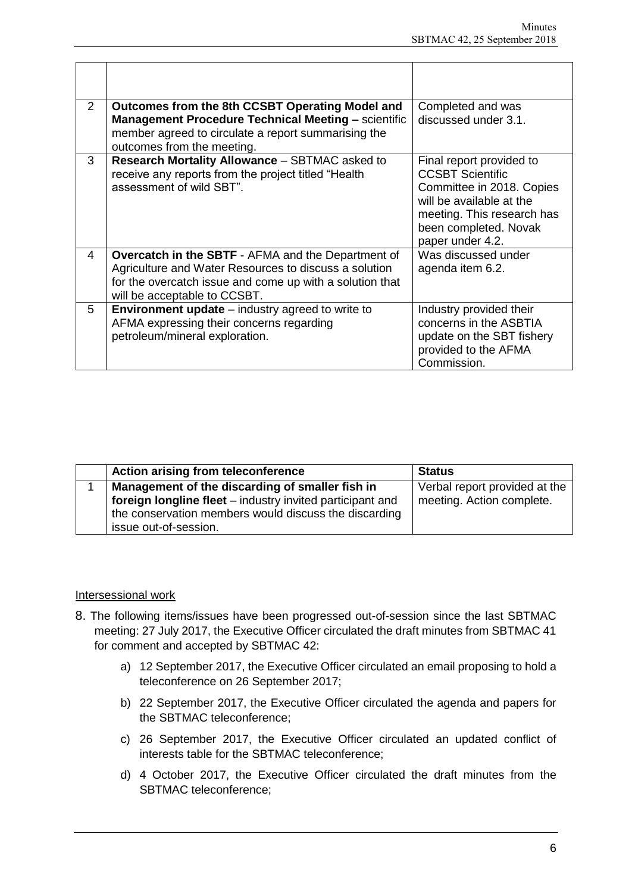| $\overline{2}$ | Outcomes from the 8th CCSBT Operating Model and<br><b>Management Procedure Technical Meeting - scientific</b>                                                                                                  | Completed and was<br>discussed under 3.1.                                                                                                                                               |
|----------------|----------------------------------------------------------------------------------------------------------------------------------------------------------------------------------------------------------------|-----------------------------------------------------------------------------------------------------------------------------------------------------------------------------------------|
|                | member agreed to circulate a report summarising the<br>outcomes from the meeting.                                                                                                                              |                                                                                                                                                                                         |
| 3              | Research Mortality Allowance - SBTMAC asked to<br>receive any reports from the project titled "Health<br>assessment of wild SBT".                                                                              | Final report provided to<br><b>CCSBT Scientific</b><br>Committee in 2018. Copies<br>will be available at the<br>meeting. This research has<br>been completed. Novak<br>paper under 4.2. |
| 4              | <b>Overcatch in the SBTF</b> - AFMA and the Department of<br>Agriculture and Water Resources to discuss a solution<br>for the overcatch issue and come up with a solution that<br>will be acceptable to CCSBT. | Was discussed under<br>agenda item 6.2.                                                                                                                                                 |
| 5              | <b>Environment update</b> $-$ industry agreed to write to<br>AFMA expressing their concerns regarding<br>petroleum/mineral exploration.                                                                        | Industry provided their<br>concerns in the ASBTIA<br>update on the SBT fishery<br>provided to the AFMA<br>Commission.                                                                   |

| Action arising from teleconference                        | <b>Status</b>                 |
|-----------------------------------------------------------|-------------------------------|
| Management of the discarding of smaller fish in           | Verbal report provided at the |
| foreign longline fleet – industry invited participant and | meeting. Action complete.     |
| the conservation members would discuss the discarding     |                               |
| issue out-of-session.                                     |                               |

### Intersessional work

- 8. The following items/issues have been progressed out-of-session since the last SBTMAC meeting: 27 July 2017, the Executive Officer circulated the draft minutes from SBTMAC 41 for comment and accepted by SBTMAC 42:
	- a) 12 September 2017, the Executive Officer circulated an email proposing to hold a teleconference on 26 September 2017;
	- b) 22 September 2017, the Executive Officer circulated the agenda and papers for the SBTMAC teleconference;
	- c) 26 September 2017, the Executive Officer circulated an updated conflict of interests table for the SBTMAC teleconference;
	- d) 4 October 2017, the Executive Officer circulated the draft minutes from the SBTMAC teleconference;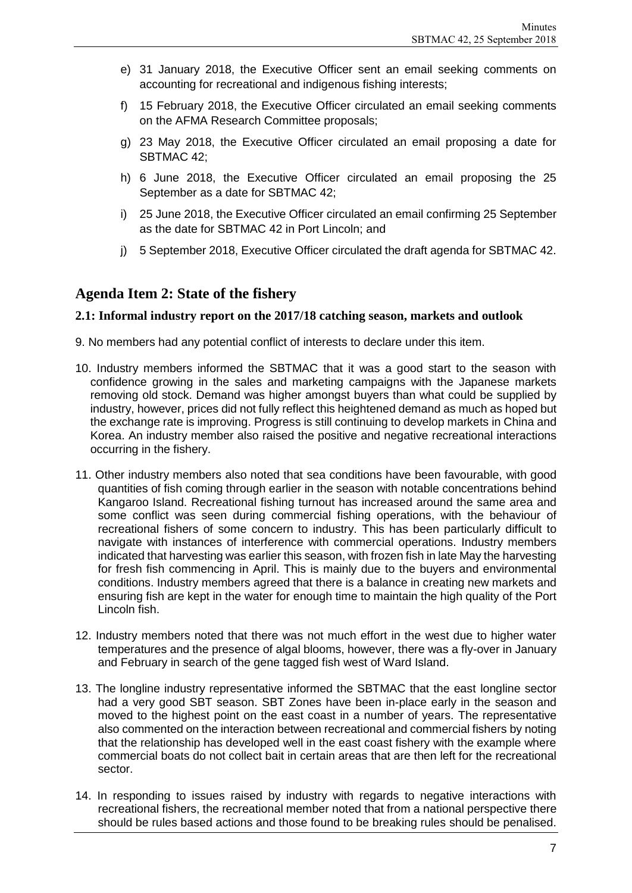- e) 31 January 2018, the Executive Officer sent an email seeking comments on accounting for recreational and indigenous fishing interests;
- f) 15 February 2018, the Executive Officer circulated an email seeking comments on the AFMA Research Committee proposals;
- g) 23 May 2018, the Executive Officer circulated an email proposing a date for SBTMAC 42;
- h) 6 June 2018, the Executive Officer circulated an email proposing the 25 September as a date for SBTMAC 42;
- i) 25 June 2018, the Executive Officer circulated an email confirming 25 September as the date for SBTMAC 42 in Port Lincoln; and
- j) 5 September 2018, Executive Officer circulated the draft agenda for SBTMAC 42.

### **Agenda Item 2: State of the fishery**

#### **2.1: Informal industry report on the 2017/18 catching season, markets and outlook**

- 9. No members had any potential conflict of interests to declare under this item.
- 10. Industry members informed the SBTMAC that it was a good start to the season with confidence growing in the sales and marketing campaigns with the Japanese markets removing old stock. Demand was higher amongst buyers than what could be supplied by industry, however, prices did not fully reflect this heightened demand as much as hoped but the exchange rate is improving. Progress is still continuing to develop markets in China and Korea. An industry member also raised the positive and negative recreational interactions occurring in the fishery.
- 11. Other industry members also noted that sea conditions have been favourable, with good quantities of fish coming through earlier in the season with notable concentrations behind Kangaroo Island. Recreational fishing turnout has increased around the same area and some conflict was seen during commercial fishing operations, with the behaviour of recreational fishers of some concern to industry. This has been particularly difficult to navigate with instances of interference with commercial operations. Industry members indicated that harvesting was earlier this season, with frozen fish in late May the harvesting for fresh fish commencing in April. This is mainly due to the buyers and environmental conditions. Industry members agreed that there is a balance in creating new markets and ensuring fish are kept in the water for enough time to maintain the high quality of the Port Lincoln fish.
- 12. Industry members noted that there was not much effort in the west due to higher water temperatures and the presence of algal blooms, however, there was a fly-over in January and February in search of the gene tagged fish west of Ward Island.
- 13. The longline industry representative informed the SBTMAC that the east longline sector had a very good SBT season. SBT Zones have been in-place early in the season and moved to the highest point on the east coast in a number of years. The representative also commented on the interaction between recreational and commercial fishers by noting that the relationship has developed well in the east coast fishery with the example where commercial boats do not collect bait in certain areas that are then left for the recreational sector.
- 14. In responding to issues raised by industry with regards to negative interactions with recreational fishers, the recreational member noted that from a national perspective there should be rules based actions and those found to be breaking rules should be penalised.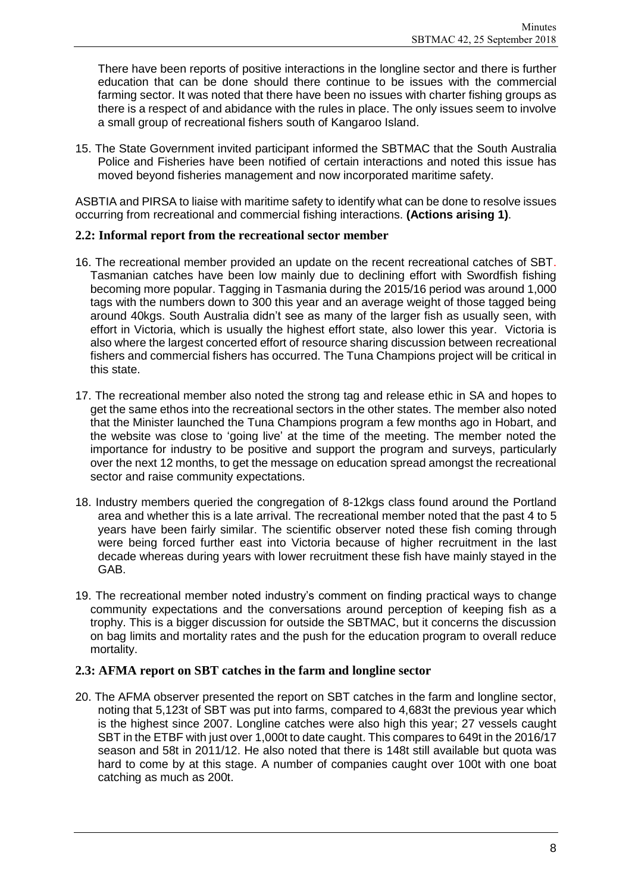There have been reports of positive interactions in the longline sector and there is further education that can be done should there continue to be issues with the commercial farming sector. It was noted that there have been no issues with charter fishing groups as there is a respect of and abidance with the rules in place. The only issues seem to involve a small group of recreational fishers south of Kangaroo Island.

15. The State Government invited participant informed the SBTMAC that the South Australia Police and Fisheries have been notified of certain interactions and noted this issue has moved beyond fisheries management and now incorporated maritime safety.

ASBTIA and PIRSA to liaise with maritime safety to identify what can be done to resolve issues occurring from recreational and commercial fishing interactions. **(Actions arising 1)**.

#### **2.2: Informal report from the recreational sector member**

- 16. The recreational member provided an update on the recent recreational catches of SBT. Tasmanian catches have been low mainly due to declining effort with Swordfish fishing becoming more popular. Tagging in Tasmania during the 2015/16 period was around 1,000 tags with the numbers down to 300 this year and an average weight of those tagged being around 40kgs. South Australia didn't see as many of the larger fish as usually seen, with effort in Victoria, which is usually the highest effort state, also lower this year. Victoria is also where the largest concerted effort of resource sharing discussion between recreational fishers and commercial fishers has occurred. The Tuna Champions project will be critical in this state.
- 17. The recreational member also noted the strong tag and release ethic in SA and hopes to get the same ethos into the recreational sectors in the other states. The member also noted that the Minister launched the Tuna Champions program a few months ago in Hobart, and the website was close to 'going live' at the time of the meeting. The member noted the importance for industry to be positive and support the program and surveys, particularly over the next 12 months, to get the message on education spread amongst the recreational sector and raise community expectations.
- 18. Industry members queried the congregation of 8-12kgs class found around the Portland area and whether this is a late arrival. The recreational member noted that the past 4 to 5 years have been fairly similar. The scientific observer noted these fish coming through were being forced further east into Victoria because of higher recruitment in the last decade whereas during years with lower recruitment these fish have mainly stayed in the GAB.
- 19. The recreational member noted industry's comment on finding practical ways to change community expectations and the conversations around perception of keeping fish as a trophy. This is a bigger discussion for outside the SBTMAC, but it concerns the discussion on bag limits and mortality rates and the push for the education program to overall reduce mortality.

### **2.3: AFMA report on SBT catches in the farm and longline sector**

20. The AFMA observer presented the report on SBT catches in the farm and longline sector, noting that 5,123t of SBT was put into farms, compared to 4,683t the previous year which is the highest since 2007. Longline catches were also high this year; 27 vessels caught SBT in the ETBF with just over 1,000t to date caught. This compares to 649t in the 2016/17 season and 58t in 2011/12. He also noted that there is 148t still available but quota was hard to come by at this stage. A number of companies caught over 100t with one boat catching as much as 200t.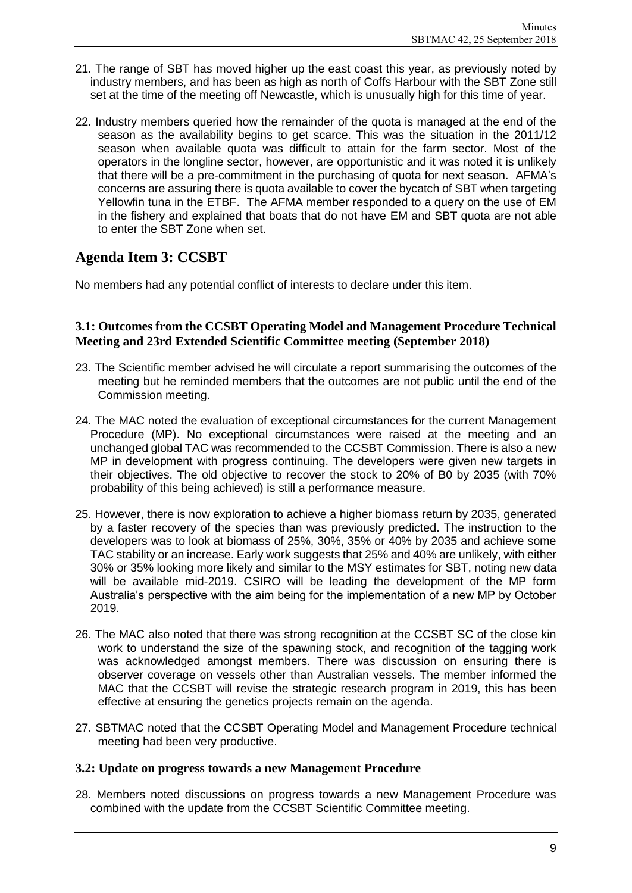- 21. The range of SBT has moved higher up the east coast this year, as previously noted by industry members, and has been as high as north of Coffs Harbour with the SBT Zone still set at the time of the meeting off Newcastle, which is unusually high for this time of year.
- 22. Industry members queried how the remainder of the quota is managed at the end of the season as the availability begins to get scarce. This was the situation in the 2011/12 season when available quota was difficult to attain for the farm sector. Most of the operators in the longline sector, however, are opportunistic and it was noted it is unlikely that there will be a pre-commitment in the purchasing of quota for next season. AFMA's concerns are assuring there is quota available to cover the bycatch of SBT when targeting Yellowfin tuna in the ETBF. The AFMA member responded to a query on the use of EM in the fishery and explained that boats that do not have EM and SBT quota are not able to enter the SBT Zone when set.

### **Agenda Item 3: CCSBT**

No members had any potential conflict of interests to declare under this item.

#### **3.1: Outcomes from the CCSBT Operating Model and Management Procedure Technical Meeting and 23rd Extended Scientific Committee meeting (September 2018)**

- 23. The Scientific member advised he will circulate a report summarising the outcomes of the meeting but he reminded members that the outcomes are not public until the end of the Commission meeting.
- 24. The MAC noted the evaluation of exceptional circumstances for the current Management Procedure (MP). No exceptional circumstances were raised at the meeting and an unchanged global TAC was recommended to the CCSBT Commission. There is also a new MP in development with progress continuing. The developers were given new targets in their objectives. The old objective to recover the stock to 20% of B0 by 2035 (with 70% probability of this being achieved) is still a performance measure.
- 25. However, there is now exploration to achieve a higher biomass return by 2035, generated by a faster recovery of the species than was previously predicted. The instruction to the developers was to look at biomass of 25%, 30%, 35% or 40% by 2035 and achieve some TAC stability or an increase. Early work suggests that 25% and 40% are unlikely, with either 30% or 35% looking more likely and similar to the MSY estimates for SBT, noting new data will be available mid-2019. CSIRO will be leading the development of the MP form Australia's perspective with the aim being for the implementation of a new MP by October 2019.
- 26. The MAC also noted that there was strong recognition at the CCSBT SC of the close kin work to understand the size of the spawning stock, and recognition of the tagging work was acknowledged amongst members. There was discussion on ensuring there is observer coverage on vessels other than Australian vessels. The member informed the MAC that the CCSBT will revise the strategic research program in 2019, this has been effective at ensuring the genetics projects remain on the agenda.
- 27. SBTMAC noted that the CCSBT Operating Model and Management Procedure technical meeting had been very productive.

#### **3.2: Update on progress towards a new Management Procedure**

28. Members noted discussions on progress towards a new Management Procedure was combined with the update from the CCSBT Scientific Committee meeting.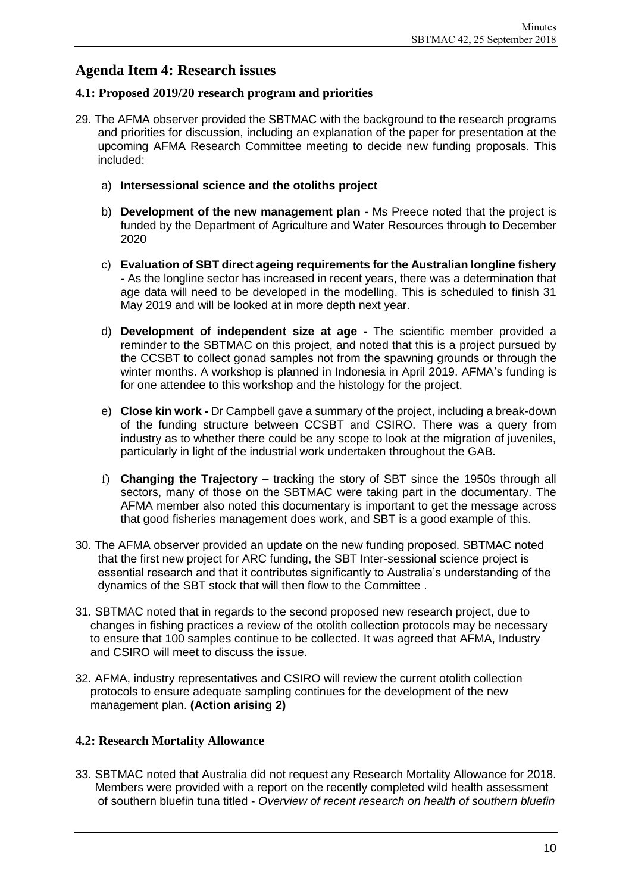### **Agenda Item 4: Research issues**

### **4.1: Proposed 2019/20 research program and priorities**

- 29. The AFMA observer provided the SBTMAC with the background to the research programs and priorities for discussion, including an explanation of the paper for presentation at the upcoming AFMA Research Committee meeting to decide new funding proposals. This included:
	- a) **Intersessional science and the otoliths project**
	- b) **Development of the new management plan -** Ms Preece noted that the project is funded by the Department of Agriculture and Water Resources through to December 2020
	- c) **Evaluation of SBT direct ageing requirements for the Australian longline fishery -** As the longline sector has increased in recent years, there was a determination that age data will need to be developed in the modelling. This is scheduled to finish 31 May 2019 and will be looked at in more depth next year.
	- d) **Development of independent size at age -** The scientific member provided a reminder to the SBTMAC on this project, and noted that this is a project pursued by the CCSBT to collect gonad samples not from the spawning grounds or through the winter months. A workshop is planned in Indonesia in April 2019. AFMA's funding is for one attendee to this workshop and the histology for the project.
	- e) **Close kin work -** Dr Campbell gave a summary of the project, including a break-down of the funding structure between CCSBT and CSIRO. There was a query from industry as to whether there could be any scope to look at the migration of juveniles, particularly in light of the industrial work undertaken throughout the GAB.
	- f) **Changing the Trajectory –** tracking the story of SBT since the 1950s through all sectors, many of those on the SBTMAC were taking part in the documentary. The AFMA member also noted this documentary is important to get the message across that good fisheries management does work, and SBT is a good example of this.
- 30. The AFMA observer provided an update on the new funding proposed. SBTMAC noted that the first new project for ARC funding, the SBT Inter-sessional science project is essential research and that it contributes significantly to Australia's understanding of the dynamics of the SBT stock that will then flow to the Committee .
- 31. SBTMAC noted that in regards to the second proposed new research project, due to changes in fishing practices a review of the otolith collection protocols may be necessary to ensure that 100 samples continue to be collected. It was agreed that AFMA, Industry and CSIRO will meet to discuss the issue.
- 32. AFMA, industry representatives and CSIRO will review the current otolith collection protocols to ensure adequate sampling continues for the development of the new management plan. **(Action arising 2)**

### **4.2: Research Mortality Allowance**

33. SBTMAC noted that Australia did not request any Research Mortality Allowance for 2018. Members were provided with a report on the recently completed wild health assessment of southern bluefin tuna titled - *Overview of recent research on health of southern bluefin*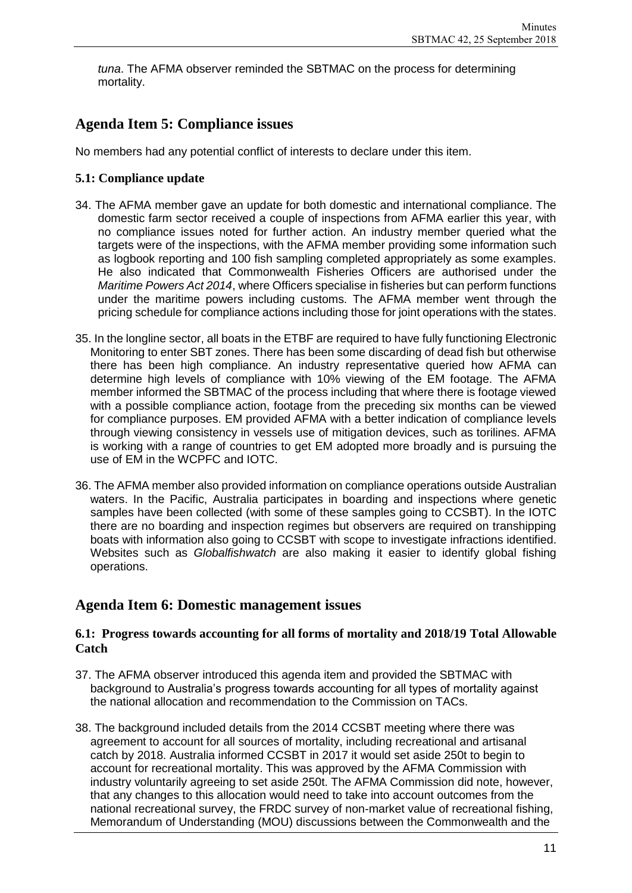*tuna*. The AFMA observer reminded the SBTMAC on the process for determining mortality.

### **Agenda Item 5: Compliance issues**

No members had any potential conflict of interests to declare under this item.

### **5.1: Compliance update**

- 34. The AFMA member gave an update for both domestic and international compliance. The domestic farm sector received a couple of inspections from AFMA earlier this year, with no compliance issues noted for further action. An industry member queried what the targets were of the inspections, with the AFMA member providing some information such as logbook reporting and 100 fish sampling completed appropriately as some examples. He also indicated that Commonwealth Fisheries Officers are authorised under the *Maritime Powers Act 2014*, where Officers specialise in fisheries but can perform functions under the maritime powers including customs. The AFMA member went through the pricing schedule for compliance actions including those for joint operations with the states.
- 35. In the longline sector, all boats in the ETBF are required to have fully functioning Electronic Monitoring to enter SBT zones. There has been some discarding of dead fish but otherwise there has been high compliance. An industry representative queried how AFMA can determine high levels of compliance with 10% viewing of the EM footage. The AFMA member informed the SBTMAC of the process including that where there is footage viewed with a possible compliance action, footage from the preceding six months can be viewed for compliance purposes. EM provided AFMA with a better indication of compliance levels through viewing consistency in vessels use of mitigation devices, such as torilines. AFMA is working with a range of countries to get EM adopted more broadly and is pursuing the use of EM in the WCPFC and IOTC.
- 36. The AFMA member also provided information on compliance operations outside Australian waters. In the Pacific, Australia participates in boarding and inspections where genetic samples have been collected (with some of these samples going to CCSBT). In the IOTC there are no boarding and inspection regimes but observers are required on transhipping boats with information also going to CCSBT with scope to investigate infractions identified. Websites such as *Globalfishwatch* are also making it easier to identify global fishing operations.

### **Agenda Item 6: Domestic management issues**

#### **6.1: Progress towards accounting for all forms of mortality and 2018/19 Total Allowable Catch**

- 37. The AFMA observer introduced this agenda item and provided the SBTMAC with background to Australia's progress towards accounting for all types of mortality against the national allocation and recommendation to the Commission on TACs.
- 38. The background included details from the 2014 CCSBT meeting where there was agreement to account for all sources of mortality, including recreational and artisanal catch by 2018. Australia informed CCSBT in 2017 it would set aside 250t to begin to account for recreational mortality. This was approved by the AFMA Commission with industry voluntarily agreeing to set aside 250t. The AFMA Commission did note, however, that any changes to this allocation would need to take into account outcomes from the national recreational survey, the FRDC survey of non-market value of recreational fishing, Memorandum of Understanding (MOU) discussions between the Commonwealth and the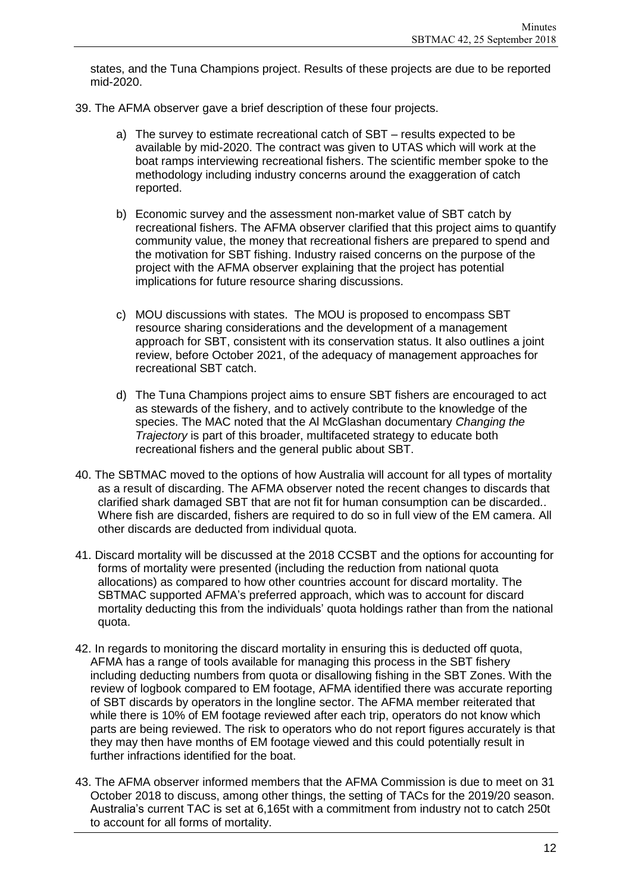states, and the Tuna Champions project. Results of these projects are due to be reported mid-2020.

- 39. The AFMA observer gave a brief description of these four projects.
	- a) The survey to estimate recreational catch of SBT results expected to be available by mid-2020. The contract was given to UTAS which will work at the boat ramps interviewing recreational fishers. The scientific member spoke to the methodology including industry concerns around the exaggeration of catch reported.
	- b) Economic survey and the assessment non-market value of SBT catch by recreational fishers. The AFMA observer clarified that this project aims to quantify community value, the money that recreational fishers are prepared to spend and the motivation for SBT fishing. Industry raised concerns on the purpose of the project with the AFMA observer explaining that the project has potential implications for future resource sharing discussions.
	- c) MOU discussions with states. The MOU is proposed to encompass SBT resource sharing considerations and the development of a management approach for SBT, consistent with its conservation status. It also outlines a joint review, before October 2021, of the adequacy of management approaches for recreational SBT catch.
	- d) The Tuna Champions project aims to ensure SBT fishers are encouraged to act as stewards of the fishery, and to actively contribute to the knowledge of the species. The MAC noted that the Al McGlashan documentary *Changing the Trajectory* is part of this broader, multifaceted strategy to educate both recreational fishers and the general public about SBT.
- 40. The SBTMAC moved to the options of how Australia will account for all types of mortality as a result of discarding. The AFMA observer noted the recent changes to discards that clarified shark damaged SBT that are not fit for human consumption can be discarded.. Where fish are discarded, fishers are required to do so in full view of the EM camera. All other discards are deducted from individual quota.
- 41. Discard mortality will be discussed at the 2018 CCSBT and the options for accounting for forms of mortality were presented (including the reduction from national quota allocations) as compared to how other countries account for discard mortality. The SBTMAC supported AFMA's preferred approach, which was to account for discard mortality deducting this from the individuals' quota holdings rather than from the national quota.
- 42. In regards to monitoring the discard mortality in ensuring this is deducted off quota, AFMA has a range of tools available for managing this process in the SBT fishery including deducting numbers from quota or disallowing fishing in the SBT Zones. With the review of logbook compared to EM footage, AFMA identified there was accurate reporting of SBT discards by operators in the longline sector. The AFMA member reiterated that while there is 10% of EM footage reviewed after each trip, operators do not know which parts are being reviewed. The risk to operators who do not report figures accurately is that they may then have months of EM footage viewed and this could potentially result in further infractions identified for the boat.
- 43. The AFMA observer informed members that the AFMA Commission is due to meet on 31 October 2018 to discuss, among other things, the setting of TACs for the 2019/20 season. Australia's current TAC is set at 6,165t with a commitment from industry not to catch 250t to account for all forms of mortality.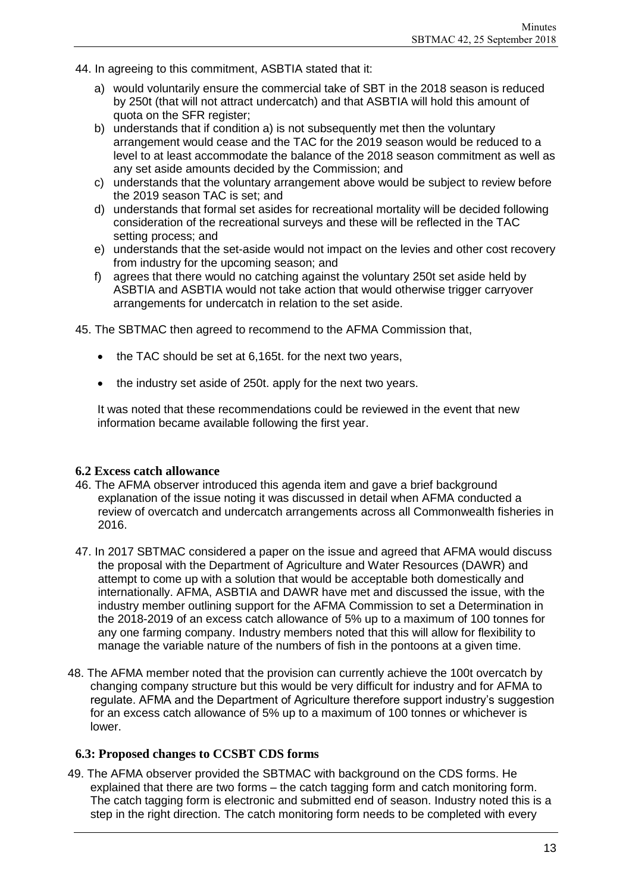- 44. In agreeing to this commitment, ASBTIA stated that it:
	- a) would voluntarily ensure the commercial take of SBT in the 2018 season is reduced by 250t (that will not attract undercatch) and that ASBTIA will hold this amount of quota on the SFR register;
	- b) understands that if condition a) is not subsequently met then the voluntary arrangement would cease and the TAC for the 2019 season would be reduced to a level to at least accommodate the balance of the 2018 season commitment as well as any set aside amounts decided by the Commission; and
	- c) understands that the voluntary arrangement above would be subject to review before the 2019 season TAC is set; and
	- d) understands that formal set asides for recreational mortality will be decided following consideration of the recreational surveys and these will be reflected in the TAC setting process; and
	- e) understands that the set-aside would not impact on the levies and other cost recovery from industry for the upcoming season; and
	- f) agrees that there would no catching against the voluntary 250t set aside held by ASBTIA and ASBTIA would not take action that would otherwise trigger carryover arrangements for undercatch in relation to the set aside.

45. The SBTMAC then agreed to recommend to the AFMA Commission that,

- the TAC should be set at 6,165t. for the next two years,
- the industry set aside of 250t. apply for the next two years.

It was noted that these recommendations could be reviewed in the event that new information became available following the first year.

#### **6.2 Excess catch allowance**

- 46. The AFMA observer introduced this agenda item and gave a brief background explanation of the issue noting it was discussed in detail when AFMA conducted a review of overcatch and undercatch arrangements across all Commonwealth fisheries in 2016.
- 47. In 2017 SBTMAC considered a paper on the issue and agreed that AFMA would discuss the proposal with the Department of Agriculture and Water Resources (DAWR) and attempt to come up with a solution that would be acceptable both domestically and internationally. AFMA, ASBTIA and DAWR have met and discussed the issue, with the industry member outlining support for the AFMA Commission to set a Determination in the 2018-2019 of an excess catch allowance of 5% up to a maximum of 100 tonnes for any one farming company. Industry members noted that this will allow for flexibility to manage the variable nature of the numbers of fish in the pontoons at a given time.
- 48. The AFMA member noted that the provision can currently achieve the 100t overcatch by changing company structure but this would be very difficult for industry and for AFMA to regulate. AFMA and the Department of Agriculture therefore support industry's suggestion for an excess catch allowance of 5% up to a maximum of 100 tonnes or whichever is lower.

### **6.3: Proposed changes to CCSBT CDS forms**

49. The AFMA observer provided the SBTMAC with background on the CDS forms. He explained that there are two forms – the catch tagging form and catch monitoring form. The catch tagging form is electronic and submitted end of season. Industry noted this is a step in the right direction. The catch monitoring form needs to be completed with every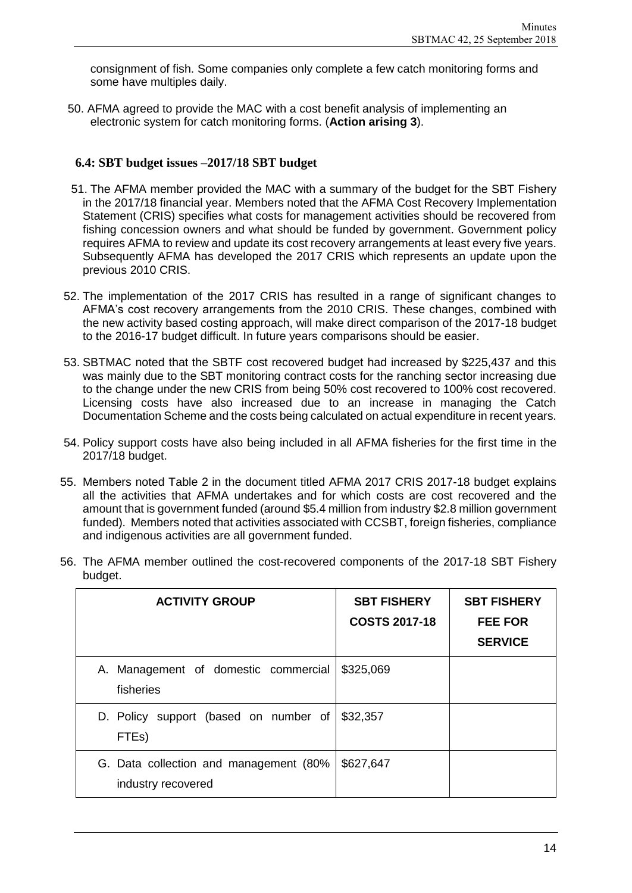consignment of fish. Some companies only complete a few catch monitoring forms and some have multiples daily.

50. AFMA agreed to provide the MAC with a cost benefit analysis of implementing an electronic system for catch monitoring forms. (**Action arising 3**).

#### **6.4: SBT budget issues –2017/18 SBT budget**

- 51. The AFMA member provided the MAC with a summary of the budget for the SBT Fishery in the 2017/18 financial year. Members noted that the AFMA Cost Recovery Implementation Statement (CRIS) specifies what costs for management activities should be recovered from fishing concession owners and what should be funded by government. Government policy requires AFMA to review and update its cost recovery arrangements at least every five years. Subsequently AFMA has developed the 2017 CRIS which represents an update upon the previous 2010 CRIS.
- 52. The implementation of the 2017 CRIS has resulted in a range of significant changes to AFMA's cost recovery arrangements from the 2010 CRIS. These changes, combined with the new activity based costing approach, will make direct comparison of the 2017-18 budget to the 2016-17 budget difficult. In future years comparisons should be easier.
- 53. SBTMAC noted that the SBTF cost recovered budget had increased by \$225,437 and this was mainly due to the SBT monitoring contract costs for the ranching sector increasing due to the change under the new CRIS from being 50% cost recovered to 100% cost recovered. Licensing costs have also increased due to an increase in managing the Catch Documentation Scheme and the costs being calculated on actual expenditure in recent years.
- 54. Policy support costs have also being included in all AFMA fisheries for the first time in the 2017/18 budget.
- 55. Members noted Table 2 in the document titled AFMA 2017 CRIS 2017-18 budget explains all the activities that AFMA undertakes and for which costs are cost recovered and the amount that is government funded (around \$5.4 million from industry \$2.8 million government funded). Members noted that activities associated with CCSBT, foreign fisheries, compliance and indigenous activities are all government funded.
- 56. The AFMA member outlined the cost-recovered components of the 2017-18 SBT Fishery budget.

| <b>ACTIVITY GROUP</b>                                        | <b>SBT FISHERY</b><br><b>COSTS 2017-18</b> | <b>SBT FISHERY</b><br><b>FEE FOR</b><br><b>SERVICE</b> |
|--------------------------------------------------------------|--------------------------------------------|--------------------------------------------------------|
| Management of domestic commercial<br>А.<br>fisheries         | \$325,069                                  |                                                        |
| D. Policy support (based on number of<br>FTE <sub>s</sub> )  | \$32,357                                   |                                                        |
| G. Data collection and management (80%<br>industry recovered | \$627,647                                  |                                                        |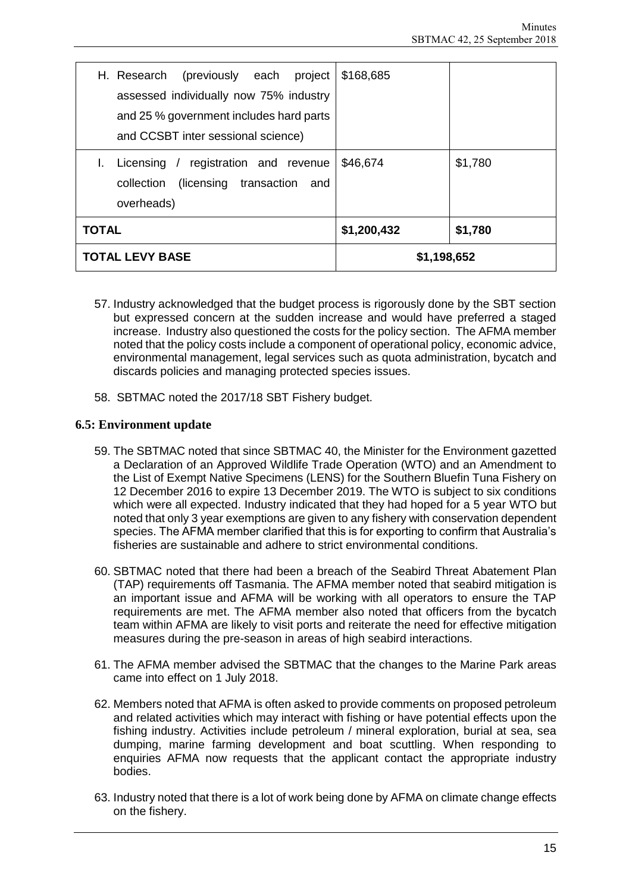| H. Research (previously each project<br>assessed individually now 75% industry                                             | \$168,685   |         |
|----------------------------------------------------------------------------------------------------------------------------|-------------|---------|
| and 25 % government includes hard parts<br>and CCSBT inter sessional science)                                              |             |         |
| registration and revenue<br>Licensing<br>$\frac{1}{2}$<br>L.<br>(licensing transaction)<br>collection<br>and<br>overheads) | \$46,674    | \$1,780 |
| <b>TOTAL</b>                                                                                                               | \$1,200,432 | \$1,780 |
| <b>TOTAL LEVY BASE</b>                                                                                                     | \$1,198,652 |         |

- 57. Industry acknowledged that the budget process is rigorously done by the SBT section but expressed concern at the sudden increase and would have preferred a staged increase. Industry also questioned the costs for the policy section. The AFMA member noted that the policy costs include a component of operational policy, economic advice, environmental management, legal services such as quota administration, bycatch and discards policies and managing protected species issues.
- 58. SBTMAC noted the 2017/18 SBT Fishery budget.

### **6.5: Environment update**

- 59. The SBTMAC noted that since SBTMAC 40, the Minister for the Environment gazetted a Declaration of an Approved Wildlife Trade Operation (WTO) and an Amendment to the List of Exempt Native Specimens (LENS) for the Southern Bluefin Tuna Fishery on 12 December 2016 to expire 13 December 2019. The WTO is subject to six conditions which were all expected. Industry indicated that they had hoped for a 5 year WTO but noted that only 3 year exemptions are given to any fishery with conservation dependent species. The AFMA member clarified that this is for exporting to confirm that Australia's fisheries are sustainable and adhere to strict environmental conditions.
- 60. SBTMAC noted that there had been a breach of the Seabird Threat Abatement Plan (TAP) requirements off Tasmania. The AFMA member noted that seabird mitigation is an important issue and AFMA will be working with all operators to ensure the TAP requirements are met. The AFMA member also noted that officers from the bycatch team within AFMA are likely to visit ports and reiterate the need for effective mitigation measures during the pre-season in areas of high seabird interactions.
- 61. The AFMA member advised the SBTMAC that the changes to the Marine Park areas came into effect on 1 July 2018.
- 62. Members noted that AFMA is often asked to provide comments on proposed petroleum and related activities which may interact with fishing or have potential effects upon the fishing industry. Activities include petroleum / mineral exploration, burial at sea, sea dumping, marine farming development and boat scuttling. When responding to enquiries AFMA now requests that the applicant contact the appropriate industry bodies.
- 63. Industry noted that there is a lot of work being done by AFMA on climate change effects on the fishery.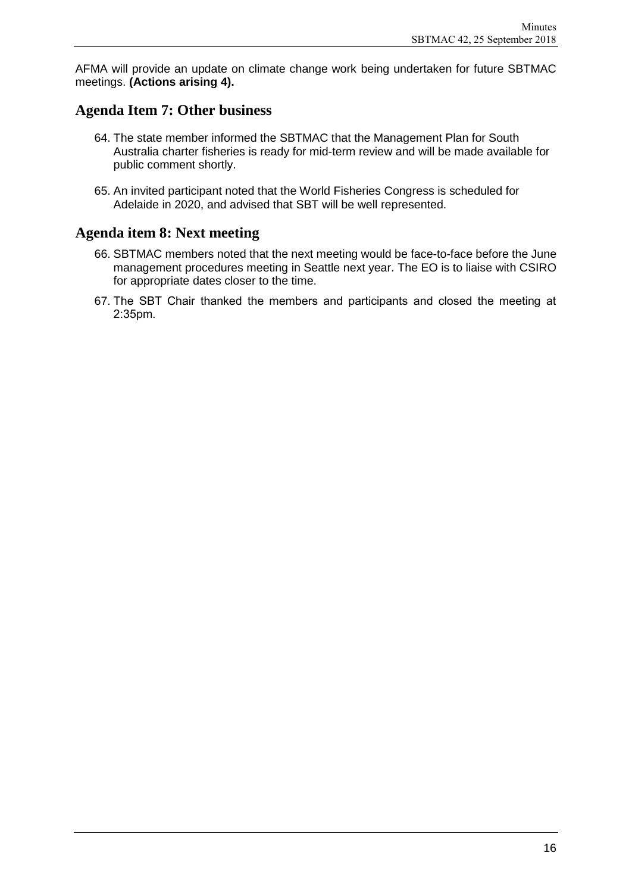AFMA will provide an update on climate change work being undertaken for future SBTMAC meetings. **(Actions arising 4).**

### **Agenda Item 7: Other business**

- 64. The state member informed the SBTMAC that the Management Plan for South Australia charter fisheries is ready for mid-term review and will be made available for public comment shortly.
- 65. An invited participant noted that the World Fisheries Congress is scheduled for Adelaide in 2020, and advised that SBT will be well represented.

### **Agenda item 8: Next meeting**

- 66. SBTMAC members noted that the next meeting would be face-to-face before the June management procedures meeting in Seattle next year. The EO is to liaise with CSIRO for appropriate dates closer to the time.
- 67. The SBT Chair thanked the members and participants and closed the meeting at 2:35pm.